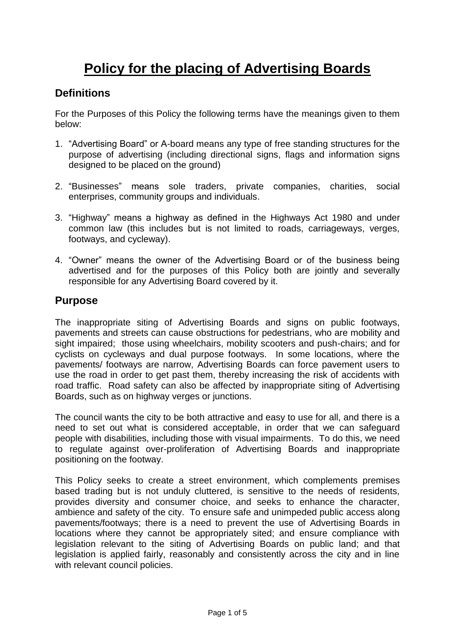# **Policy for the placing of Advertising Boards**

## **Definitions**

For the Purposes of this Policy the following terms have the meanings given to them below:

- 1. "Advertising Board" or A-board means any type of free standing structures for the purpose of advertising (including directional signs, flags and information signs designed to be placed on the ground)
- 2. "Businesses" means sole traders, private companies, charities, social enterprises, community groups and individuals.
- 3. "Highway" means a highway as defined in the Highways Act 1980 and under common law (this includes but is not limited to roads, carriageways, verges, footways, and cycleway).
- 4. "Owner" means the owner of the Advertising Board or of the business being advertised and for the purposes of this Policy both are jointly and severally responsible for any Advertising Board covered by it.

### **Purpose**

The inappropriate siting of Advertising Boards and signs on public footways, pavements and streets can cause obstructions for pedestrians, who are mobility and sight impaired; those using wheelchairs, mobility scooters and push-chairs; and for cyclists on cycleways and dual purpose footways. In some locations, where the pavements/ footways are narrow, Advertising Boards can force pavement users to use the road in order to get past them, thereby increasing the risk of accidents with road traffic. Road safety can also be affected by inappropriate siting of Advertising Boards, such as on highway verges or junctions.

The council wants the city to be both attractive and easy to use for all, and there is a need to set out what is considered acceptable, in order that we can safeguard people with disabilities, including those with visual impairments. To do this, we need to regulate against over-proliferation of Advertising Boards and inappropriate positioning on the footway.

This Policy seeks to create a street environment, which complements premises based trading but is not unduly cluttered, is sensitive to the needs of residents, provides diversity and consumer choice, and seeks to enhance the character, ambience and safety of the city. To ensure safe and unimpeded public access along pavements/footways; there is a need to prevent the use of Advertising Boards in locations where they cannot be appropriately sited; and ensure compliance with legislation relevant to the siting of Advertising Boards on public land; and that legislation is applied fairly, reasonably and consistently across the city and in line with relevant council policies.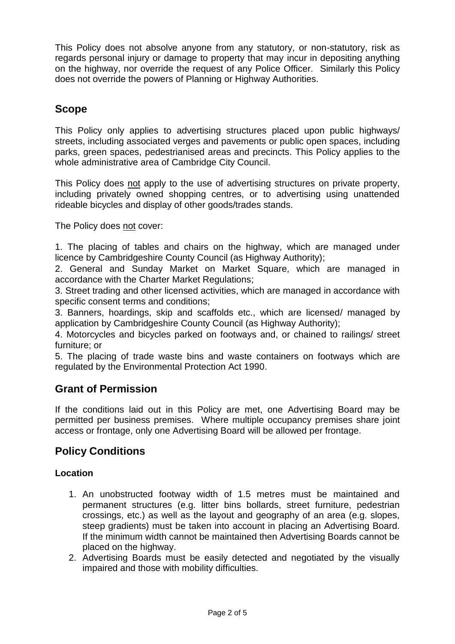This Policy does not absolve anyone from any statutory, or non-statutory, risk as regards personal injury or damage to property that may incur in depositing anything on the highway, nor override the request of any Police Officer. Similarly this Policy does not override the powers of Planning or Highway Authorities.

# **Scope**

This Policy only applies to advertising structures placed upon public highways/ streets, including associated verges and pavements or public open spaces, including parks, green spaces, pedestrianised areas and precincts. This Policy applies to the whole administrative area of Cambridge City Council.

This Policy does not apply to the use of advertising structures on private property, including privately owned shopping centres, or to advertising using unattended rideable bicycles and display of other goods/trades stands.

The Policy does not cover:

1. The placing of tables and chairs on the highway, which are managed under licence by Cambridgeshire County Council (as Highway Authority);

2. General and Sunday Market on Market Square, which are managed in accordance with the Charter Market Regulations;

3. Street trading and other licensed activities, which are managed in accordance with specific consent terms and conditions;

3. Banners, hoardings, skip and scaffolds etc., which are licensed/ managed by application by Cambridgeshire County Council (as Highway Authority);

4. Motorcycles and bicycles parked on footways and, or chained to railings/ street furniture; or

5. The placing of trade waste bins and waste containers on footways which are regulated by the Environmental Protection Act 1990.

## **Grant of Permission**

If the conditions laid out in this Policy are met, one Advertising Board may be permitted per business premises. Where multiple occupancy premises share joint access or frontage, only one Advertising Board will be allowed per frontage.

## **Policy Conditions**

#### **Location**

- 1. An unobstructed footway width of 1.5 metres must be maintained and permanent structures (e.g. litter bins bollards, street furniture, pedestrian crossings, etc.) as well as the layout and geography of an area (e.g. slopes, steep gradients) must be taken into account in placing an Advertising Board. If the minimum width cannot be maintained then Advertising Boards cannot be placed on the highway.
- 2. Advertising Boards must be easily detected and negotiated by the visually impaired and those with mobility difficulties.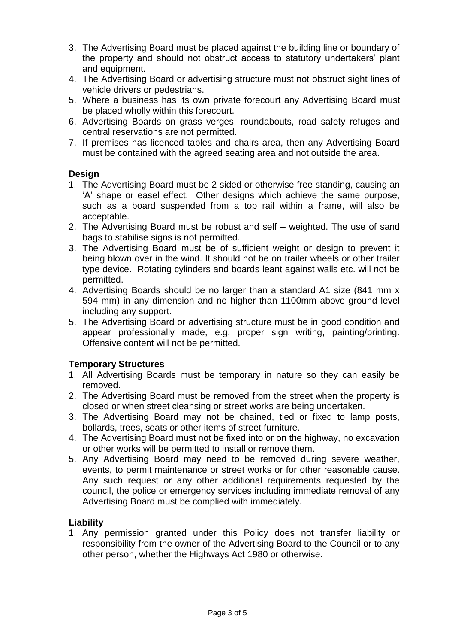- 3. The Advertising Board must be placed against the building line or boundary of the property and should not obstruct access to statutory undertakers' plant and equipment.
- 4. The Advertising Board or advertising structure must not obstruct sight lines of vehicle drivers or pedestrians.
- 5. Where a business has its own private forecourt any Advertising Board must be placed wholly within this forecourt.
- 6. Advertising Boards on grass verges, roundabouts, road safety refuges and central reservations are not permitted.
- 7. If premises has licenced tables and chairs area, then any Advertising Board must be contained with the agreed seating area and not outside the area.

#### **Design**

- 1. The Advertising Board must be 2 sided or otherwise free standing, causing an 'A' shape or easel effect. Other designs which achieve the same purpose, such as a board suspended from a top rail within a frame, will also be acceptable.
- 2. The Advertising Board must be robust and self weighted. The use of sand bags to stabilise signs is not permitted.
- 3. The Advertising Board must be of sufficient weight or design to prevent it being blown over in the wind. It should not be on trailer wheels or other trailer type device. Rotating cylinders and boards leant against walls etc. will not be permitted.
- 4. Advertising Boards should be no larger than a standard A1 size (841 mm x 594 mm) in any dimension and no higher than 1100mm above ground level including any support.
- 5. The Advertising Board or advertising structure must be in good condition and appear professionally made, e.g. proper sign writing, painting/printing. Offensive content will not be permitted.

#### **Temporary Structures**

- 1. All Advertising Boards must be temporary in nature so they can easily be removed.
- 2. The Advertising Board must be removed from the street when the property is closed or when street cleansing or street works are being undertaken.
- 3. The Advertising Board may not be chained, tied or fixed to lamp posts, bollards, trees, seats or other items of street furniture.
- 4. The Advertising Board must not be fixed into or on the highway, no excavation or other works will be permitted to install or remove them.
- 5. Any Advertising Board may need to be removed during severe weather, events, to permit maintenance or street works or for other reasonable cause. Any such request or any other additional requirements requested by the council, the police or emergency services including immediate removal of any Advertising Board must be complied with immediately.

#### **Liability**

1. Any permission granted under this Policy does not transfer liability or responsibility from the owner of the Advertising Board to the Council or to any other person, whether the Highways Act 1980 or otherwise.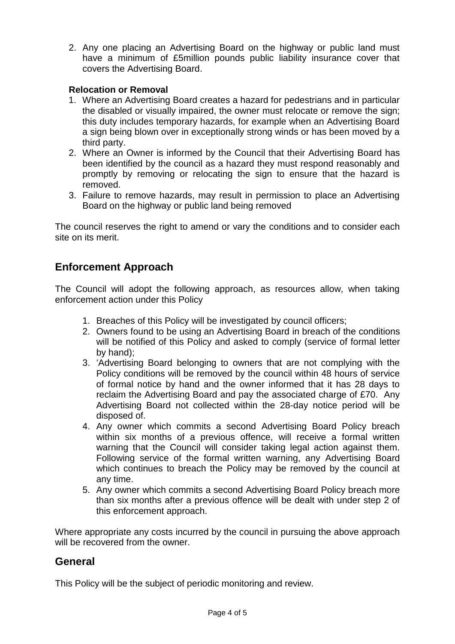2. Any one placing an Advertising Board on the highway or public land must have a minimum of £5million pounds public liability insurance cover that covers the Advertising Board.

#### **Relocation or Removal**

- 1. Where an Advertising Board creates a hazard for pedestrians and in particular the disabled or visually impaired, the owner must relocate or remove the sign; this duty includes temporary hazards, for example when an Advertising Board a sign being blown over in exceptionally strong winds or has been moved by a third party.
- 2. Where an Owner is informed by the Council that their Advertising Board has been identified by the council as a hazard they must respond reasonably and promptly by removing or relocating the sign to ensure that the hazard is removed.
- 3. Failure to remove hazards, may result in permission to place an Advertising Board on the highway or public land being removed

The council reserves the right to amend or vary the conditions and to consider each site on its merit.

# **Enforcement Approach**

The Council will adopt the following approach, as resources allow, when taking enforcement action under this Policy

- 1. Breaches of this Policy will be investigated by council officers;
- 2. Owners found to be using an Advertising Board in breach of the conditions will be notified of this Policy and asked to comply (service of formal letter by hand);
- 3. 'Advertising Board belonging to owners that are not complying with the Policy conditions will be removed by the council within 48 hours of service of formal notice by hand and the owner informed that it has 28 days to reclaim the Advertising Board and pay the associated charge of £70. Any Advertising Board not collected within the 28-day notice period will be disposed of.
- 4. Any owner which commits a second Advertising Board Policy breach within six months of a previous offence, will receive a formal written warning that the Council will consider taking legal action against them. Following service of the formal written warning, any Advertising Board which continues to breach the Policy may be removed by the council at any time.
- 5. Any owner which commits a second Advertising Board Policy breach more than six months after a previous offence will be dealt with under step 2 of this enforcement approach.

Where appropriate any costs incurred by the council in pursuing the above approach will be recovered from the owner.

## **General**

This Policy will be the subject of periodic monitoring and review.